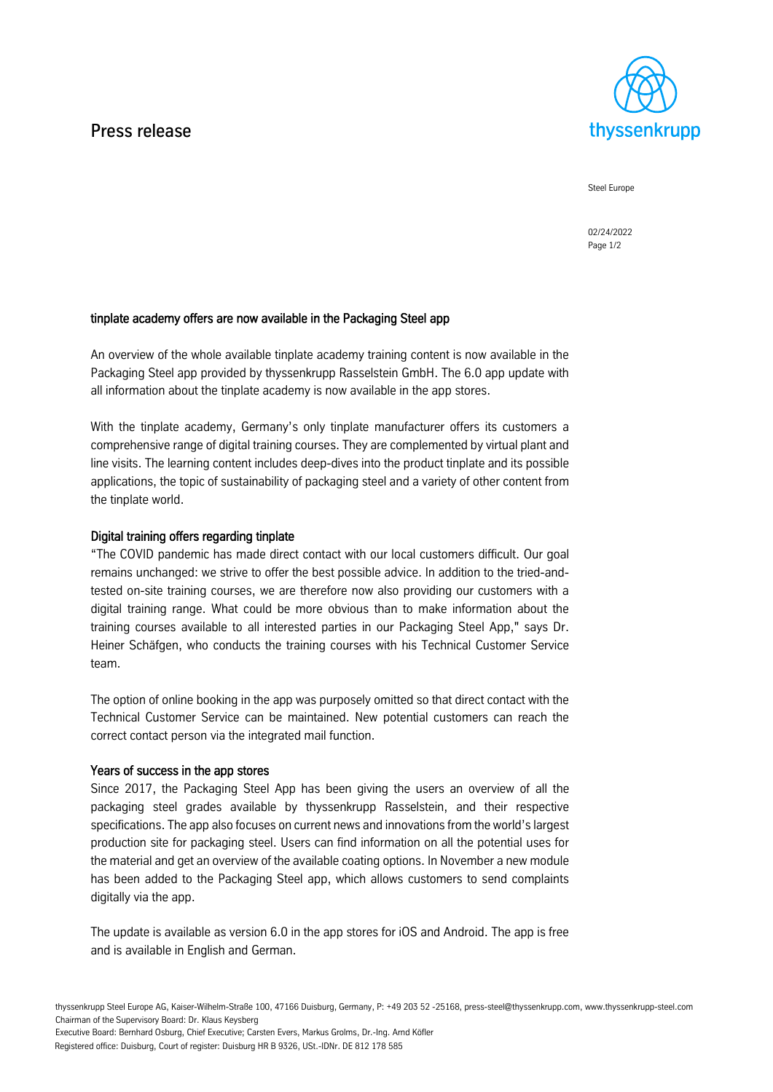## Press release



Steel Europe

02/24/2022 Page 1/2

## tinplate academy offers are now available in the Packaging Steel app

An overview of the whole available tinplate academy training content is now available in the Packaging Steel app provided by thyssenkrupp Rasselstein GmbH. The 6.0 app update with all information about the tinplate academy is now available in the app stores.

With the tinplate academy, Germany's only tinplate manufacturer offers its customers a comprehensive range of digital training courses. They are complemented by virtual plant and line visits. The learning content includes deep-dives into the product tinplate and its possible applications, the topic of sustainability of packaging steel and a variety of other content from the tinplate world.

## Digital training offers regarding tinplate

"The COVID pandemic has made direct contact with our local customers difficult. Our goal remains unchanged: we strive to offer the best possible advice. In addition to the tried-andtested on-site training courses, we are therefore now also providing our customers with a digital training range. What could be more obvious than to make information about the training courses available to all interested parties in our Packaging Steel App," says Dr. Heiner Schäfgen, who conducts the training courses with his Technical Customer Service team.

The option of online booking in the app was purposely omitted so that direct contact with the Technical Customer Service can be maintained. New potential customers can reach the correct contact person via the integrated mail function.

## Years of success in the app stores

Since 2017, the Packaging Steel App has been giving the users an overview of all the packaging steel grades available by thyssenkrupp Rasselstein, and their respective specifications. The app also focuses on current news and innovations from the world's largest production site for packaging steel. Users can find information on all the potential uses for the material and get an overview of the available coating options. In November a new module has been added to the Packaging Steel app, which allows customers to send complaints digitally via the app.

The update is available as version 6.0 in the app stores for iOS and Android. The app is free and is available in English and German.

Executive Board: Bernhard Osburg, Chief Executive; Carsten Evers, Markus Grolms, Dr.-Ing. Arnd Köfler

Registered office: Duisburg, Court of register: Duisburg HR B 9326, USt.-IDNr. DE 812 178 585